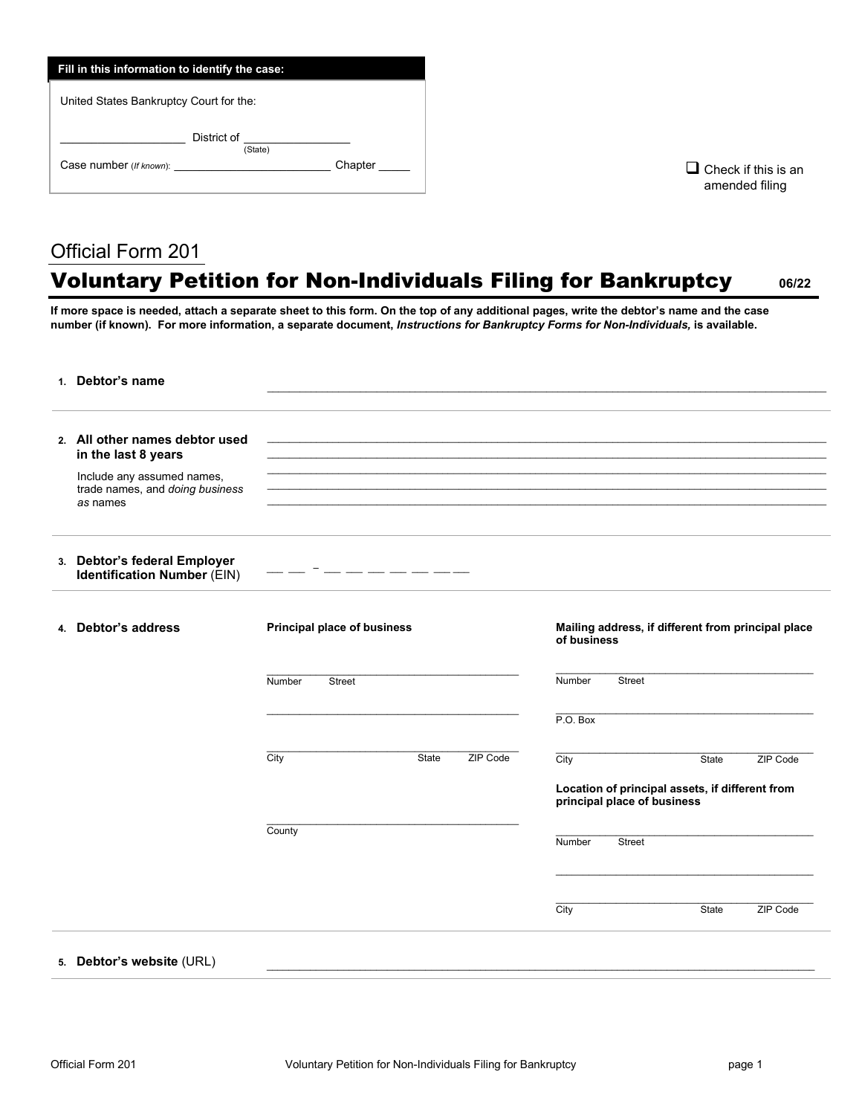| Fill in this information to identify the case: |         |  |  |  |
|------------------------------------------------|---------|--|--|--|
| United States Bankruptcy Court for the:        |         |  |  |  |
| District of<br>(State)                         |         |  |  |  |
| Case number (If known):                        | Chapter |  |  |  |
|                                                |         |  |  |  |

 $\square$  Check if this is an amended filing

## Official Form 201

## Voluntary Petition for Non-Individuals Filing for Bankruptcy **06/22**

**If more space is needed, attach a separate sheet to this form. On the top of any additional pages, write the debtor's name and the case number (if known). For more information, a separate document,** *Instructions for Bankruptcy Forms for Non-Individuals,* **is available.**

| 1. Debtor's name                                                                                                                   |                                    |                                                                                                                                                                                                                                                                                                                                                                                                                                                                            |                                                                   |                                                                                |       |          |
|------------------------------------------------------------------------------------------------------------------------------------|------------------------------------|----------------------------------------------------------------------------------------------------------------------------------------------------------------------------------------------------------------------------------------------------------------------------------------------------------------------------------------------------------------------------------------------------------------------------------------------------------------------------|-------------------------------------------------------------------|--------------------------------------------------------------------------------|-------|----------|
| 2. All other names debtor used<br>in the last 8 years<br>Include any assumed names,<br>trade names, and doing business<br>as names |                                    |                                                                                                                                                                                                                                                                                                                                                                                                                                                                            |                                                                   |                                                                                |       |          |
|                                                                                                                                    |                                    |                                                                                                                                                                                                                                                                                                                                                                                                                                                                            |                                                                   |                                                                                |       |          |
| 3. Debtor's federal Employer<br><b>Identification Number (EIN)</b>                                                                 |                                    | $\frac{1}{2} \left( \frac{1}{2} \right) \left( \frac{1}{2} \right) \left( \frac{1}{2} \right) \left( \frac{1}{2} \right) \left( \frac{1}{2} \right) \left( \frac{1}{2} \right) \left( \frac{1}{2} \right) \left( \frac{1}{2} \right) \left( \frac{1}{2} \right) \left( \frac{1}{2} \right) \left( \frac{1}{2} \right) \left( \frac{1}{2} \right) \left( \frac{1}{2} \right) \left( \frac{1}{2} \right) \left( \frac{1}{2} \right) \left( \frac{1}{2} \right) \left( \frac$ |                                                                   |                                                                                |       |          |
| 4. Debtor's address                                                                                                                | <b>Principal place of business</b> |                                                                                                                                                                                                                                                                                                                                                                                                                                                                            | Mailing address, if different from principal place<br>of business |                                                                                |       |          |
|                                                                                                                                    | Number<br><b>Street</b>            |                                                                                                                                                                                                                                                                                                                                                                                                                                                                            |                                                                   | Number<br><b>Street</b>                                                        |       |          |
|                                                                                                                                    |                                    |                                                                                                                                                                                                                                                                                                                                                                                                                                                                            |                                                                   | P.O. Box                                                                       |       |          |
|                                                                                                                                    | City                               | <b>State</b>                                                                                                                                                                                                                                                                                                                                                                                                                                                               | ZIP Code                                                          | City                                                                           | State | ZIP Code |
|                                                                                                                                    |                                    |                                                                                                                                                                                                                                                                                                                                                                                                                                                                            |                                                                   | Location of principal assets, if different from<br>principal place of business |       |          |
|                                                                                                                                    | County                             |                                                                                                                                                                                                                                                                                                                                                                                                                                                                            |                                                                   | Number<br><b>Street</b>                                                        |       |          |
|                                                                                                                                    |                                    |                                                                                                                                                                                                                                                                                                                                                                                                                                                                            |                                                                   |                                                                                |       |          |
|                                                                                                                                    |                                    |                                                                                                                                                                                                                                                                                                                                                                                                                                                                            |                                                                   | City                                                                           | State | ZIP Code |
| 5. Debtor's website (URL)                                                                                                          |                                    |                                                                                                                                                                                                                                                                                                                                                                                                                                                                            |                                                                   |                                                                                |       |          |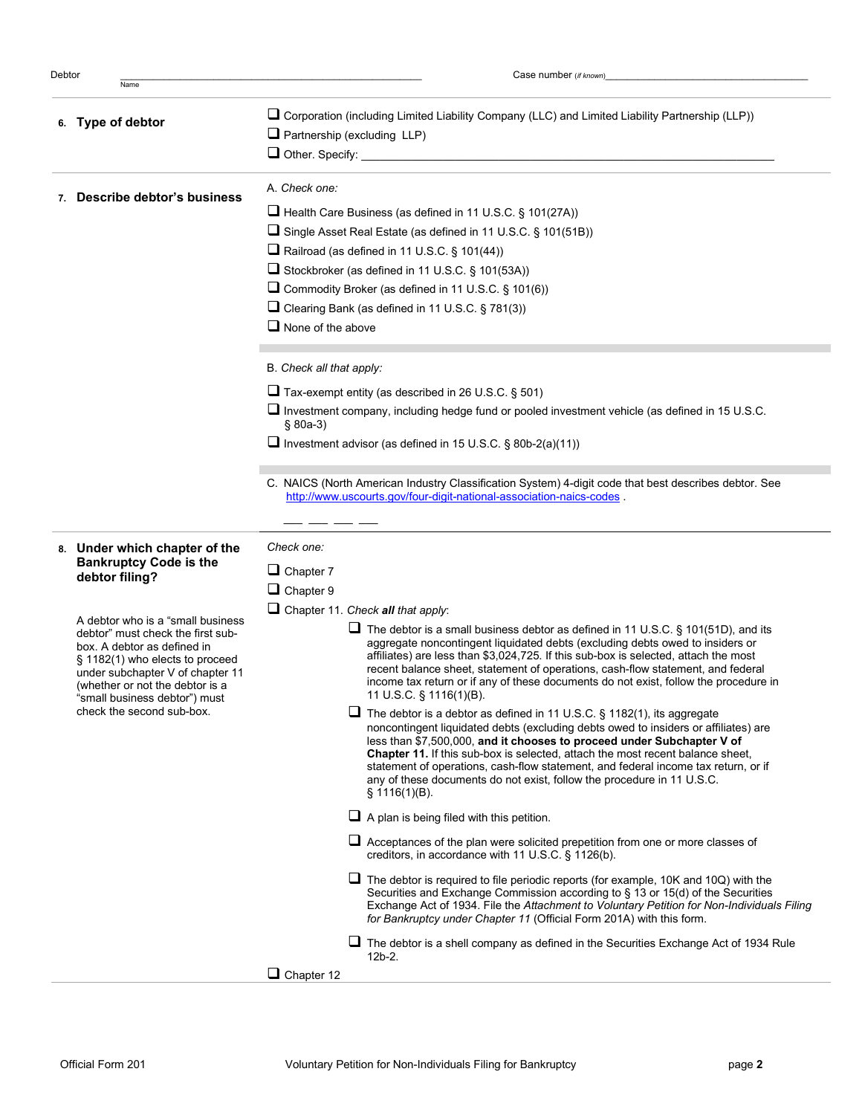Name

Debtor \_\_\_\_\_\_\_\_\_\_\_\_\_\_\_\_\_\_\_\_\_\_\_\_\_\_\_\_\_\_\_\_\_\_\_\_\_\_\_\_\_\_\_\_\_\_\_\_\_\_\_\_\_\_\_ Case number (*if known*)\_\_\_\_\_\_\_\_\_\_\_\_\_\_\_\_\_\_\_\_\_\_\_\_\_\_\_\_\_\_\_\_\_\_\_\_\_

|  | 6. Type of debtor                                                                                                                                                                                                                           | $\Box$ Corporation (including Limited Liability Company (LLC) and Limited Liability Partnership (LLP))<br>$\Box$ Partnership (excluding LLP)                                                                                                                                                                                                                                                                                                                                                                                 |  |  |  |  |
|--|---------------------------------------------------------------------------------------------------------------------------------------------------------------------------------------------------------------------------------------------|------------------------------------------------------------------------------------------------------------------------------------------------------------------------------------------------------------------------------------------------------------------------------------------------------------------------------------------------------------------------------------------------------------------------------------------------------------------------------------------------------------------------------|--|--|--|--|
|  |                                                                                                                                                                                                                                             | $\Box$ Other. Specify:                                                                                                                                                                                                                                                                                                                                                                                                                                                                                                       |  |  |  |  |
|  | 7. Describe debtor's business                                                                                                                                                                                                               | A. Check one:                                                                                                                                                                                                                                                                                                                                                                                                                                                                                                                |  |  |  |  |
|  |                                                                                                                                                                                                                                             | Health Care Business (as defined in 11 U.S.C. § 101(27A))                                                                                                                                                                                                                                                                                                                                                                                                                                                                    |  |  |  |  |
|  |                                                                                                                                                                                                                                             | □ Single Asset Real Estate (as defined in 11 U.S.C. § 101(51B))                                                                                                                                                                                                                                                                                                                                                                                                                                                              |  |  |  |  |
|  |                                                                                                                                                                                                                                             | $\Box$ Railroad (as defined in 11 U.S.C. § 101(44))                                                                                                                                                                                                                                                                                                                                                                                                                                                                          |  |  |  |  |
|  |                                                                                                                                                                                                                                             | Stockbroker (as defined in 11 U.S.C. § 101(53A))                                                                                                                                                                                                                                                                                                                                                                                                                                                                             |  |  |  |  |
|  |                                                                                                                                                                                                                                             | Commodity Broker (as defined in 11 U.S.C. § 101(6))                                                                                                                                                                                                                                                                                                                                                                                                                                                                          |  |  |  |  |
|  |                                                                                                                                                                                                                                             | □ Clearing Bank (as defined in 11 U.S.C. § 781(3))                                                                                                                                                                                                                                                                                                                                                                                                                                                                           |  |  |  |  |
|  |                                                                                                                                                                                                                                             | $\Box$ None of the above                                                                                                                                                                                                                                                                                                                                                                                                                                                                                                     |  |  |  |  |
|  |                                                                                                                                                                                                                                             | B. Check all that apply:                                                                                                                                                                                                                                                                                                                                                                                                                                                                                                     |  |  |  |  |
|  |                                                                                                                                                                                                                                             | $\Box$ Tax-exempt entity (as described in 26 U.S.C. § 501)                                                                                                                                                                                                                                                                                                                                                                                                                                                                   |  |  |  |  |
|  |                                                                                                                                                                                                                                             | Investment company, including hedge fund or pooled investment vehicle (as defined in 15 U.S.C.<br>$$80a-3)$                                                                                                                                                                                                                                                                                                                                                                                                                  |  |  |  |  |
|  |                                                                                                                                                                                                                                             | Investment advisor (as defined in 15 U.S.C. $\S$ 80b-2(a)(11))                                                                                                                                                                                                                                                                                                                                                                                                                                                               |  |  |  |  |
|  |                                                                                                                                                                                                                                             |                                                                                                                                                                                                                                                                                                                                                                                                                                                                                                                              |  |  |  |  |
|  |                                                                                                                                                                                                                                             | C. NAICS (North American Industry Classification System) 4-digit code that best describes debtor. See<br>http://www.uscourts.gov/four-digit-national-association-naics-codes                                                                                                                                                                                                                                                                                                                                                 |  |  |  |  |
|  |                                                                                                                                                                                                                                             |                                                                                                                                                                                                                                                                                                                                                                                                                                                                                                                              |  |  |  |  |
|  | 8. Under which chapter of the<br><b>Bankruptcy Code is the</b>                                                                                                                                                                              | Check one:                                                                                                                                                                                                                                                                                                                                                                                                                                                                                                                   |  |  |  |  |
|  | debtor filing?                                                                                                                                                                                                                              | $\Box$ Chapter 7                                                                                                                                                                                                                                                                                                                                                                                                                                                                                                             |  |  |  |  |
|  |                                                                                                                                                                                                                                             | $\Box$ Chapter 9                                                                                                                                                                                                                                                                                                                                                                                                                                                                                                             |  |  |  |  |
|  | A debtor who is a "small business"                                                                                                                                                                                                          | $\Box$ Chapter 11. Check all that apply:                                                                                                                                                                                                                                                                                                                                                                                                                                                                                     |  |  |  |  |
|  | debtor" must check the first sub-<br>box. A debtor as defined in<br>$\S$ 1182(1) who elects to proceed<br>under subchapter V of chapter 11<br>(whether or not the debtor is a<br>"small business debtor") must<br>check the second sub-box. | $\Box$ The debtor is a small business debtor as defined in 11 U.S.C. § 101(51D), and its<br>aggregate noncontingent liquidated debts (excluding debts owed to insiders or<br>affiliates) are less than \$3,024,725. If this sub-box is selected, attach the most<br>recent balance sheet, statement of operations, cash-flow statement, and federal<br>income tax return or if any of these documents do not exist, follow the procedure in<br>11 U.S.C. § 1116(1)(B).                                                       |  |  |  |  |
|  |                                                                                                                                                                                                                                             | $\Box$ The debtor is a debtor as defined in 11 U.S.C. § 1182(1), its aggregate<br>noncontingent liquidated debts (excluding debts owed to insiders or affiliates) are<br>less than \$7,500,000, and it chooses to proceed under Subchapter V of<br><b>Chapter 11.</b> If this sub-box is selected, attach the most recent balance sheet,<br>statement of operations, cash-flow statement, and federal income tax return, or if<br>any of these documents do not exist, follow the procedure in 11 U.S.C.<br>$\S$ 1116(1)(B). |  |  |  |  |
|  |                                                                                                                                                                                                                                             | $\Box$ A plan is being filed with this petition.                                                                                                                                                                                                                                                                                                                                                                                                                                                                             |  |  |  |  |
|  |                                                                                                                                                                                                                                             | $\Box$ Acceptances of the plan were solicited prepetition from one or more classes of<br>creditors, in accordance with 11 U.S.C. § 1126(b).                                                                                                                                                                                                                                                                                                                                                                                  |  |  |  |  |
|  |                                                                                                                                                                                                                                             | $\Box$ The debtor is required to file periodic reports (for example, 10K and 10Q) with the<br>Securities and Exchange Commission according to § 13 or 15(d) of the Securities<br>Exchange Act of 1934. File the Attachment to Voluntary Petition for Non-Individuals Filing<br>for Bankruptcy under Chapter 11 (Official Form 201A) with this form.                                                                                                                                                                          |  |  |  |  |
|  |                                                                                                                                                                                                                                             | $\Box$ The debtor is a shell company as defined in the Securities Exchange Act of 1934 Rule<br>$12b-2.$                                                                                                                                                                                                                                                                                                                                                                                                                      |  |  |  |  |
|  |                                                                                                                                                                                                                                             | $\Box$ Chapter 12                                                                                                                                                                                                                                                                                                                                                                                                                                                                                                            |  |  |  |  |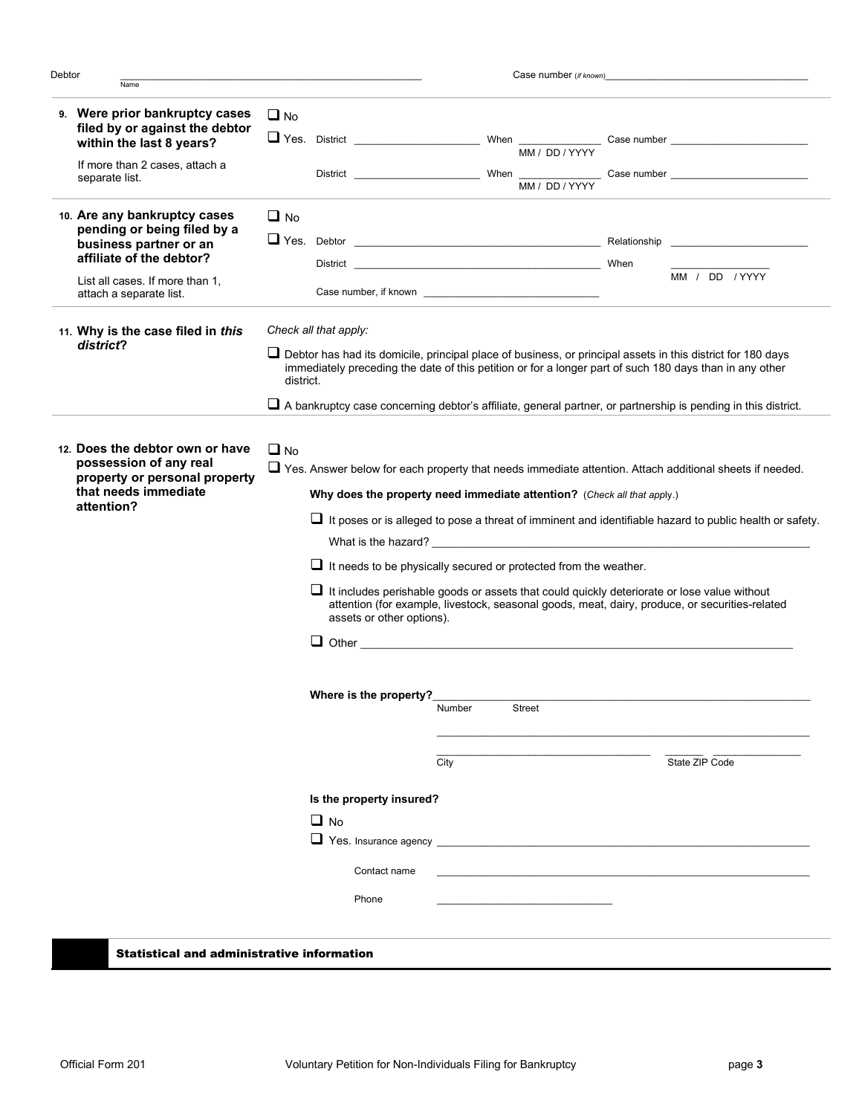| Debtor<br>Name                                                                                                                                       |                                                                                                                                                                                                                                                                                                                                                                                                                                                                                                                                                                                                                                                                                                                                                                                                                                                                       | Case number (if known)                                                                                         |                                                                                                                                                                                                                                                                                                                                                  |  |  |
|------------------------------------------------------------------------------------------------------------------------------------------------------|-----------------------------------------------------------------------------------------------------------------------------------------------------------------------------------------------------------------------------------------------------------------------------------------------------------------------------------------------------------------------------------------------------------------------------------------------------------------------------------------------------------------------------------------------------------------------------------------------------------------------------------------------------------------------------------------------------------------------------------------------------------------------------------------------------------------------------------------------------------------------|----------------------------------------------------------------------------------------------------------------|--------------------------------------------------------------------------------------------------------------------------------------------------------------------------------------------------------------------------------------------------------------------------------------------------------------------------------------------------|--|--|
| 9. Were prior bankruptcy cases<br>filed by or against the debtor<br>within the last 8 years?                                                         | $\Box$ No                                                                                                                                                                                                                                                                                                                                                                                                                                                                                                                                                                                                                                                                                                                                                                                                                                                             |                                                                                                                |                                                                                                                                                                                                                                                                                                                                                  |  |  |
| If more than 2 cases, attach a<br>separate list.                                                                                                     |                                                                                                                                                                                                                                                                                                                                                                                                                                                                                                                                                                                                                                                                                                                                                                                                                                                                       |                                                                                                                | District $\frac{1}{\text{M}_1 \cdot \text{DD} / Y + Y + Y}$ Case number                                                                                                                                                                                                                                                                          |  |  |
| 10. Are any bankruptcy cases<br>pending or being filed by a<br>business partner or an<br>affiliate of the debtor?<br>List all cases. If more than 1, | $\Box$ No                                                                                                                                                                                                                                                                                                                                                                                                                                                                                                                                                                                                                                                                                                                                                                                                                                                             | District Partners and Contract and Contract of the Contract of the Contract of the Contract of the Contract of | When<br>MM / DD / YYYY                                                                                                                                                                                                                                                                                                                           |  |  |
| attach a separate list.<br>11. Why is the case filed in this<br>district?                                                                            | Check all that apply:<br>district.                                                                                                                                                                                                                                                                                                                                                                                                                                                                                                                                                                                                                                                                                                                                                                                                                                    |                                                                                                                | $\Box$ Debtor has had its domicile, principal place of business, or principal assets in this district for 180 days<br>immediately preceding the date of this petition or for a longer part of such 180 days than in any other<br>□ A bankruptcy case concerning debtor's affiliate, general partner, or partnership is pending in this district. |  |  |
| 12. Does the debtor own or have<br>possession of any real<br>property or personal property<br>that needs immediate<br>attention?                     | $\Box$ No<br>□ Yes. Answer below for each property that needs immediate attention. Attach additional sheets if needed.<br>Why does the property need immediate attention? (Check all that apply.)<br>$\Box$ It poses or is alleged to pose a threat of imminent and identifiable hazard to public health or safety.<br>What is the hazard? The contract of the contract of the contract of the contract of the contract of the contract of the contract of the contract of the contract of the contract of the contract of the contract of the contra<br>$\Box$ It needs to be physically secured or protected from the weather.<br>$\Box$ It includes perishable goods or assets that could quickly deteriorate or lose value without<br>attention (for example, livestock, seasonal goods, meat, dairy, produce, or securities-related<br>assets or other options). |                                                                                                                |                                                                                                                                                                                                                                                                                                                                                  |  |  |
|                                                                                                                                                      | Where is the property?                                                                                                                                                                                                                                                                                                                                                                                                                                                                                                                                                                                                                                                                                                                                                                                                                                                | Number<br>Street<br>City                                                                                       | State ZIP Code                                                                                                                                                                                                                                                                                                                                   |  |  |
|                                                                                                                                                      | Is the property insured?<br>$\Box$ No<br>❏<br>Contact name<br>Phone                                                                                                                                                                                                                                                                                                                                                                                                                                                                                                                                                                                                                                                                                                                                                                                                   |                                                                                                                |                                                                                                                                                                                                                                                                                                                                                  |  |  |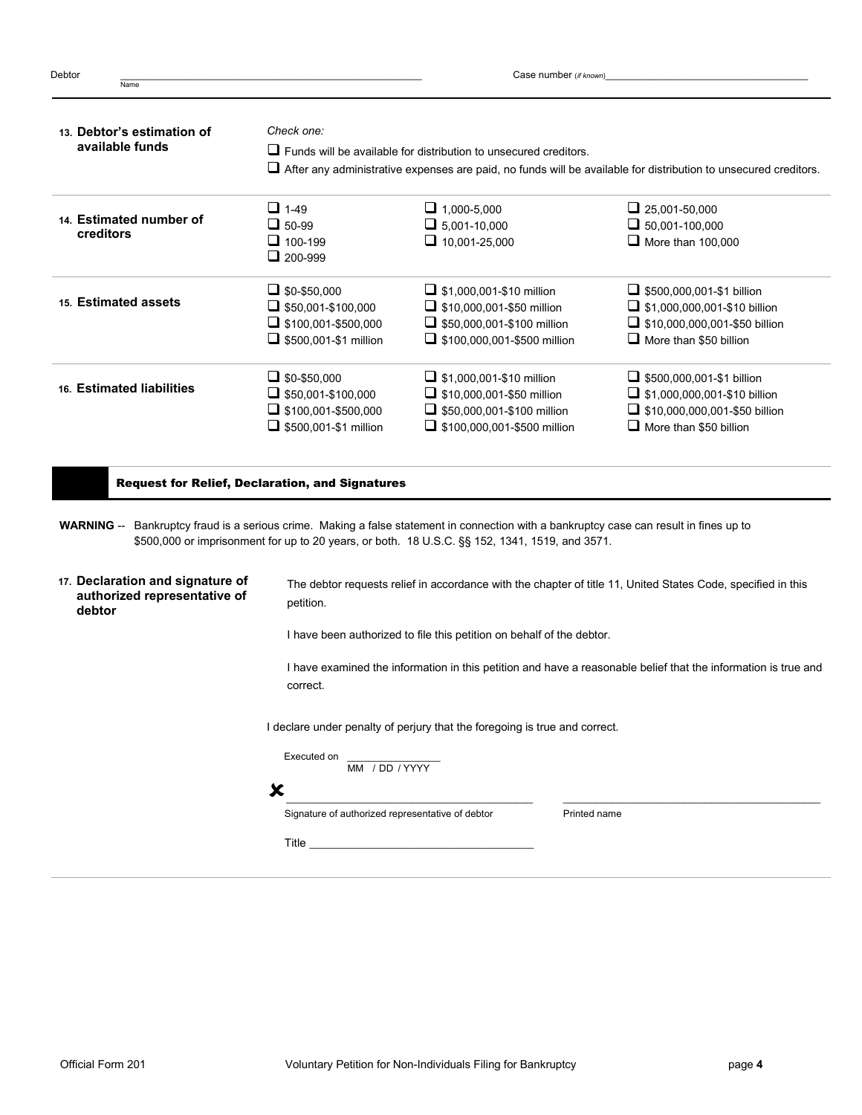| 13. Debtor's estimation of           | Check one:                                                                                                             |                                                                                                                                         |                                                                                                                                                                                                                                |  |  |
|--------------------------------------|------------------------------------------------------------------------------------------------------------------------|-----------------------------------------------------------------------------------------------------------------------------------------|--------------------------------------------------------------------------------------------------------------------------------------------------------------------------------------------------------------------------------|--|--|
| available funds                      |                                                                                                                        | $\Box$ Funds will be available for distribution to unsecured creditors.                                                                 |                                                                                                                                                                                                                                |  |  |
|                                      | $\Box$ After any administrative expenses are paid, no funds will be available for distribution to unsecured creditors. |                                                                                                                                         |                                                                                                                                                                                                                                |  |  |
|                                      | $\Box$ 1-49                                                                                                            | $\Box$ 1,000-5,000                                                                                                                      | $\Box$ 25,001-50,000                                                                                                                                                                                                           |  |  |
| 14. Estimated number of<br>creditors | $\Box$ 50-99                                                                                                           | $\Box$ 5,001-10,000                                                                                                                     | $\Box$ 50,001-100,000                                                                                                                                                                                                          |  |  |
|                                      | $\Box$ 100-199                                                                                                         | $\Box$ 10,001-25,000                                                                                                                    | $\Box$ More than 100,000                                                                                                                                                                                                       |  |  |
|                                      | $\Box$ 200-999                                                                                                         |                                                                                                                                         |                                                                                                                                                                                                                                |  |  |
|                                      | $\Box$ \$0-\$50,000                                                                                                    | $\Box$ \$1,000,001-\$10 million                                                                                                         | $\Box$ \$500,000,001-\$1 billion                                                                                                                                                                                               |  |  |
| 15. Estimated assets                 | $\Box$ \$50,001-\$100,000                                                                                              | $\Box$ \$10,000,001-\$50 million                                                                                                        | $\Box$ \$1,000,000,001-\$10 billion                                                                                                                                                                                            |  |  |
|                                      | $\Box$ \$100,001-\$500,000                                                                                             | $\Box$ \$50,000,001-\$100 million                                                                                                       | $\Box$ \$10,000,000,001-\$50 billion                                                                                                                                                                                           |  |  |
|                                      | $\Box$ \$500,001-\$1 million                                                                                           | $\Box$ \$100,000,001-\$500 million                                                                                                      | $\Box$ More than \$50 billion                                                                                                                                                                                                  |  |  |
|                                      | $\Box$ \$0-\$50,000                                                                                                    | $\Box$ \$1,000,001-\$10 million                                                                                                         | $\Box$ \$500,000,001-\$1 billion                                                                                                                                                                                               |  |  |
| 16. Estimated liabilities            | $\Box$ \$50,001-\$100,000                                                                                              | $\Box$ \$10,000,001-\$50 million                                                                                                        | $\Box$ \$1,000,000,001-\$10 billion                                                                                                                                                                                            |  |  |
|                                      | $\Box$ \$100,001-\$500,000                                                                                             | $\Box$ \$50,000,001-\$100 million                                                                                                       | $\Box$ \$10,000,000,001-\$50 billion                                                                                                                                                                                           |  |  |
|                                      | $\Box$ \$500,001-\$1 million                                                                                           | $\Box$ \$100,000,001-\$500 million                                                                                                      | $\Box$ More than \$50 billion                                                                                                                                                                                                  |  |  |
|                                      | <b>Request for Relief, Declaration, and Signatures</b>                                                                 | WARNING -- Bankruptcy fraud is a serious crime. Making a false statement in connection with a bankruptcy case can result in fines up to |                                                                                                                                                                                                                                |  |  |
| authorized representative of         | petition.                                                                                                              | \$500,000 or imprisonment for up to 20 years, or both. 18 U.S.C. §§ 152, 1341, 1519, and 3571.                                          |                                                                                                                                                                                                                                |  |  |
| debtor                               |                                                                                                                        | I have been authorized to file this petition on behalf of the debtor.                                                                   |                                                                                                                                                                                                                                |  |  |
|                                      | correct.                                                                                                               |                                                                                                                                         |                                                                                                                                                                                                                                |  |  |
| 17. Declaration and signature of     |                                                                                                                        | I declare under penalty of perjury that the foregoing is true and correct.                                                              |                                                                                                                                                                                                                                |  |  |
|                                      | Executed on<br>MM / DD / YYYY                                                                                          |                                                                                                                                         |                                                                                                                                                                                                                                |  |  |
|                                      | Х                                                                                                                      |                                                                                                                                         |                                                                                                                                                                                                                                |  |  |
|                                      | Signature of authorized representative of debtor                                                                       | Printed name                                                                                                                            | The debtor requests relief in accordance with the chapter of title 11, United States Code, specified in this<br>I have examined the information in this petition and have a reasonable belief that the information is true and |  |  |

Debtor \_\_\_\_\_\_\_\_\_\_\_\_\_\_\_\_\_\_\_\_\_\_\_\_\_\_\_\_\_\_\_\_\_\_\_\_\_\_\_\_\_\_\_\_\_\_\_\_\_\_\_\_\_\_\_ Case number (*if known*)\_\_\_\_\_\_\_\_\_\_\_\_\_\_\_\_\_\_\_\_\_\_\_\_\_\_\_\_\_\_\_\_\_\_\_\_\_